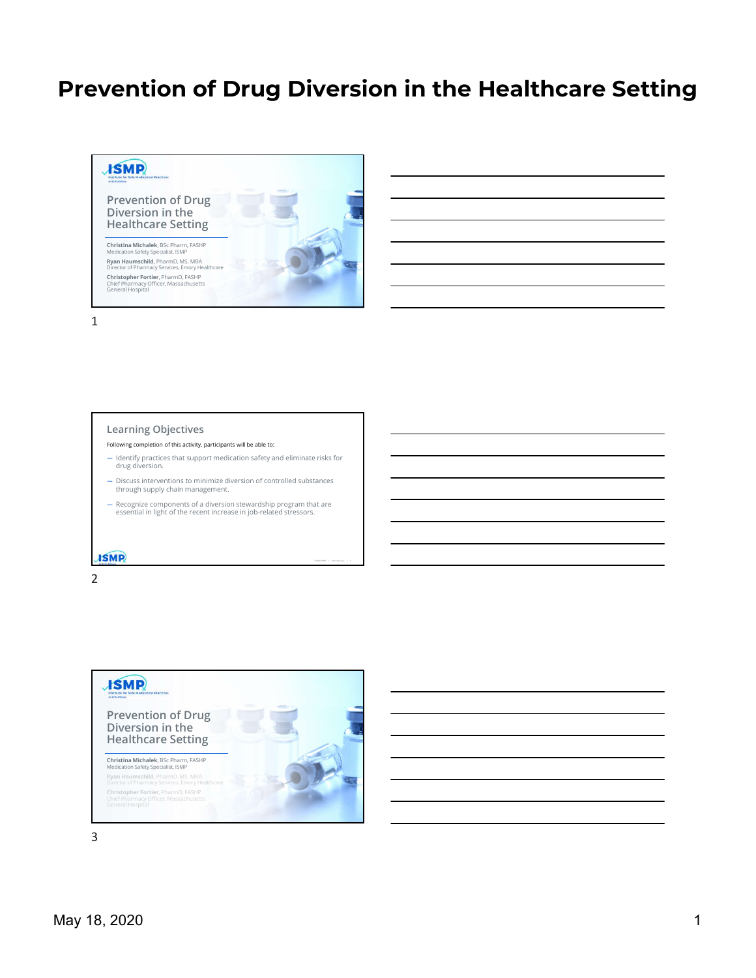©2020 ISMP | www.ismp.org | 2



#### Learning Objectives

- Following completion of this activity, participants will be able to:
- Identify practices that support medication safety and eliminate risks for drug diversion.
- Discuss interventions to minimize diversion of controlled substances through supply chain management.
- Recognize components of a diversion stewardship program that are essential in light of the recent increase in job-related stressors.

## **ISMP**

2

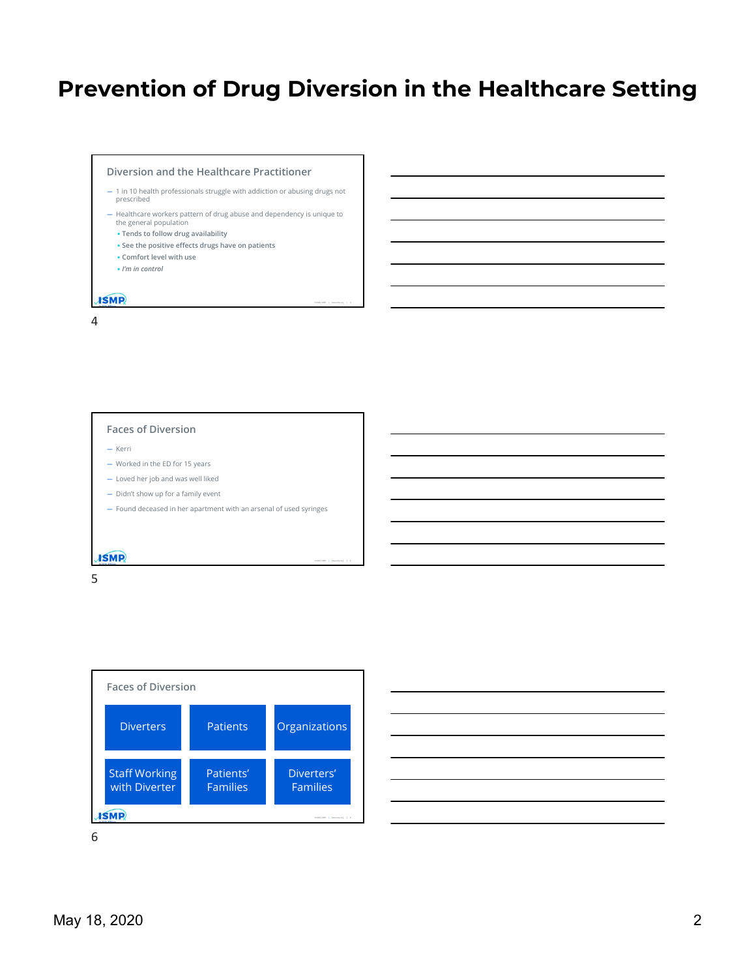- Diversion and the Healthcare Practitioner<br>
 1 in 10 health professionals struggle with addiction or abusing drugs not<br>
prescribed<br>
 Healthcare workers pattern of drug abuse and dependency is unique to<br>
the general popula prescribed
- Healthcare workers pattern of drug abuse and dependency is unique to the general population
	- Tends to follow drug availability
	- See the positive effects drugs have on patients
	- Comfort level with use
- I'm in control

4

#### Faces of Diversion

- Kerri  **Kerri Kerri Kerri Kerri Kerri Kerri Kerri Kerri Kerri Kerri Kerri Kerri Ker**
- Worked in the ED for 15 years
- Loved her job and was well liked
- Didn't show up for a family event
- Found deceased in her apartment with an arsenal of used syringes

## **ISMP**

 $5<sub>2</sub>$ 



| ations                       |  |  |  |
|------------------------------|--|--|--|
|                              |  |  |  |
|                              |  |  |  |
| ters'<br>ilies               |  |  |  |
| 02020 BMP   www.kirijung   6 |  |  |  |

©2020 ISMP | www.ismp.org | 5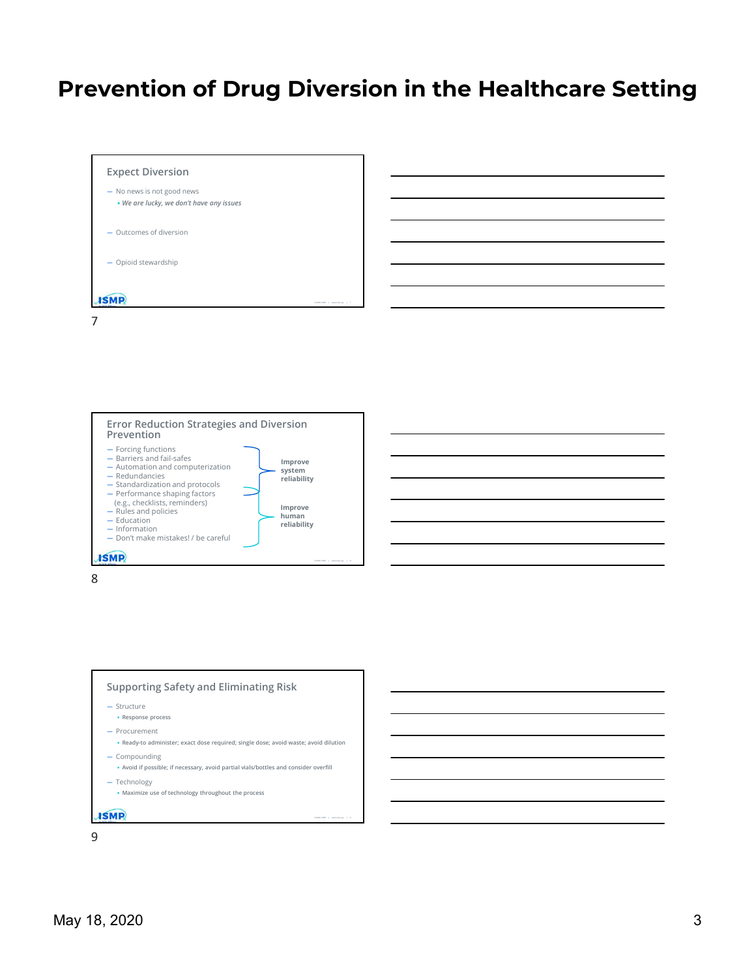





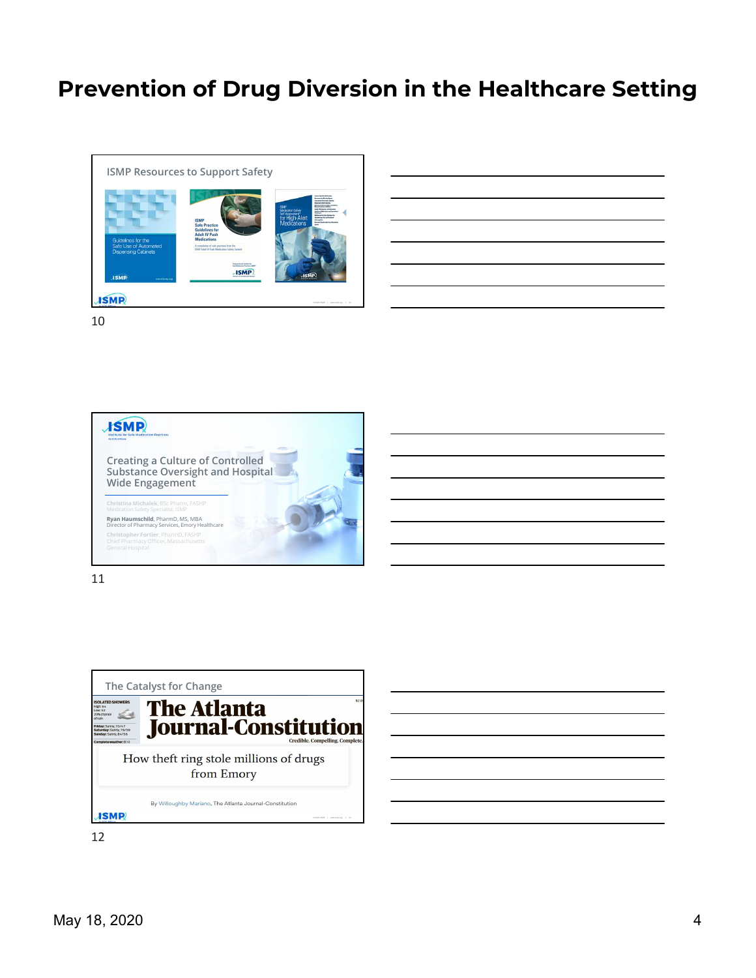![](_page_3_Picture_1.jpeg)

| <u> 1999 - Johann Harry Harry Harry Harry Harry Harry Harry Harry Harry Harry Harry Harry Harry Harry Harry Harry</u>                                                |  |
|----------------------------------------------------------------------------------------------------------------------------------------------------------------------|--|
|                                                                                                                                                                      |  |
| ,我们也不会有一个人的事情。""我们的人们,我们也不会有一个人的人,我们也不会有一个人的人,我们也不会有一个人的人,我们也不会有一个人的人,我们也不会有一个人的<br>第一百一十一章 我们的人,我们的人们的人们,我们的人们的人们的人们,我们的人们的人们的人们,我们的人们的人们,我们的人们的人们,我们的人们的人们,我们的人们的人 |  |
|                                                                                                                                                                      |  |
| <u> Alexandro de la contrada de la contrada de la contrada de la contrada de la contrada de la contrada de la co</u>                                                 |  |
|                                                                                                                                                                      |  |
|                                                                                                                                                                      |  |
|                                                                                                                                                                      |  |
| <u> 1989 - Johann Stoff, amerikansk politiker (d. 1989)</u>                                                                                                          |  |
|                                                                                                                                                                      |  |
|                                                                                                                                                                      |  |
|                                                                                                                                                                      |  |
|                                                                                                                                                                      |  |

10

![](_page_3_Picture_4.jpeg)

![](_page_3_Figure_6.jpeg)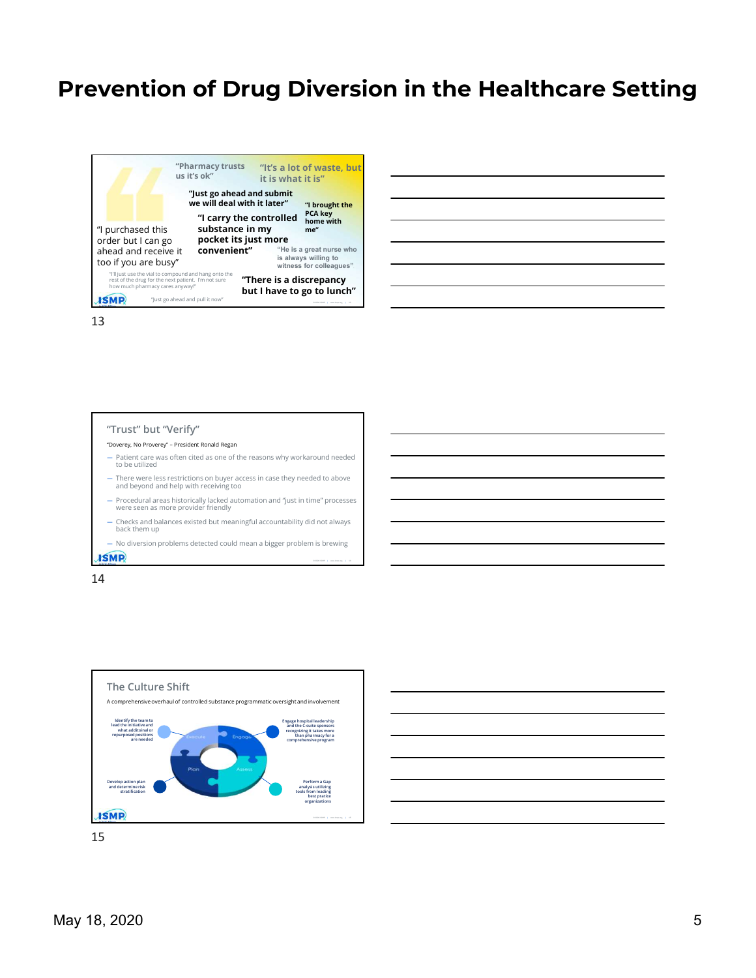![](_page_4_Picture_1.jpeg)

### "Trust" but "Verify"

- 
- 
- $-$  There were less restrictions on buyer access in case they needed to above and beyond and help with receiving too
- Procedural areas historically lacked automation and "just in time" processes were seen as more provider friendly
- Checks and balances existed but meaningful accountability did not always back them up
- No diversion problems detected could mean a bigger problem is brewing

## **ISMP**

14

![](_page_4_Figure_12.jpeg)

![](_page_4_Figure_13.jpeg)

©2020 ISMP | www.ismp.org | 14

![](_page_4_Figure_14.jpeg)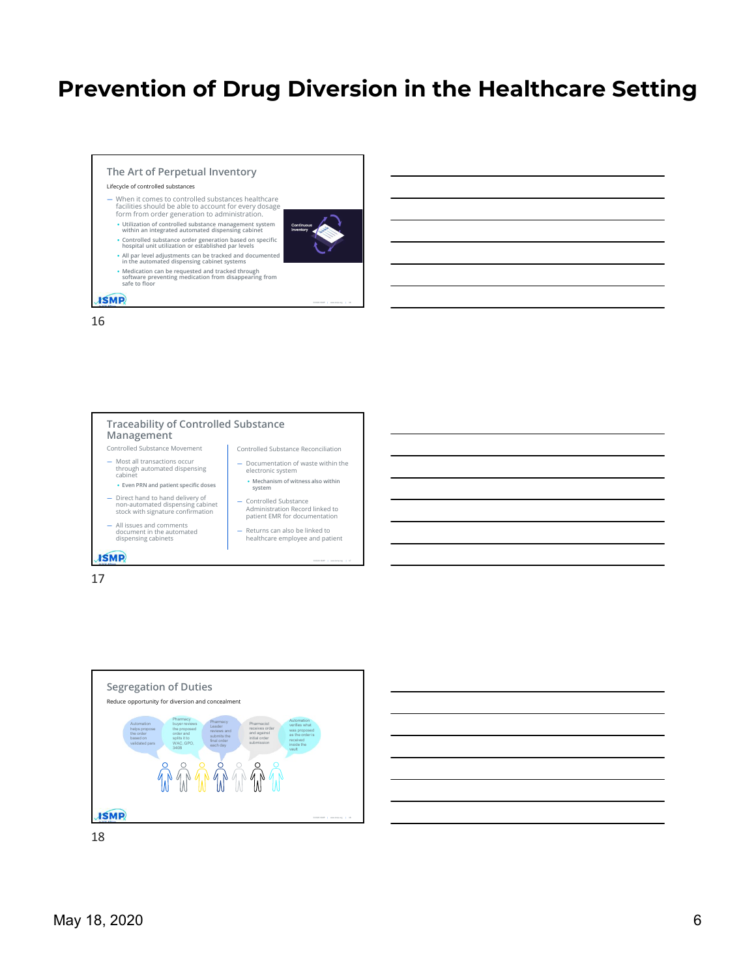©2020 ISMP | www.ismp.org | 16

## The Art of Perpetual Inventory

#### Lifecycle of controlled substances

- When it comes to controlled substances healthcare facilities should be able to account for every dosage form from order generation to administration.
	- Utilization of controlled substance management system continuous and the settlement of the settlement of the substance management system continuous
	- Controlled substance order generation based on specific hospital unit utilization or established par levels
	-
	- All par level adjustments can be tracked and documented in the automated dispensing cabinet systems
	- Medication can be requested and tracked through<br>software preventing medication from disappearing from<br>safe to floor

## **ISMP**

16

![](_page_5_Figure_11.jpeg)

17

![](_page_5_Figure_13.jpeg)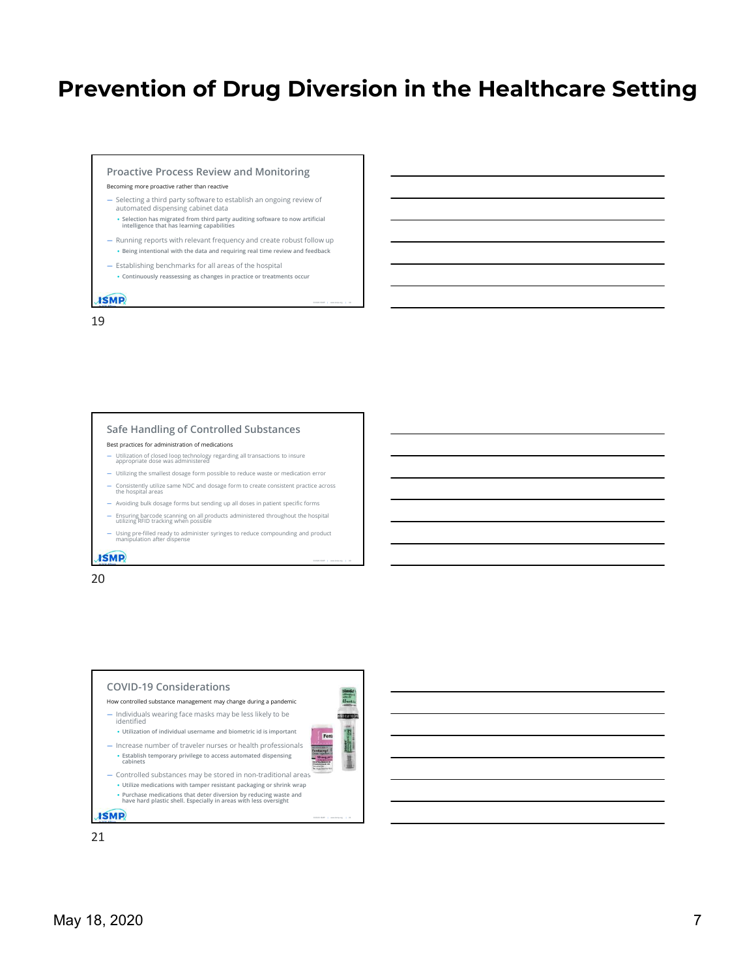©2020 ISMP | www.ismp.org | 19

©2020 ISMP | www.ismp.org | 20

#### Proactive Process Review and Monitoring

#### Becoming more proactive rather than reactive

- Selecting a third party software to establish an ongoing review of automated dispensing cabinet data
- Selection has migrated from third party auditing software to now artificial intelligence that has learning capabilities — Running reports with relevant frequency and create robust follow up
- Being intentional with the data and requiring real time review and feedback
- Establishing benchmarks for all areas of the hospital
	- Continuously reassessing as changes in practice or treatments occur

## **ISMP**

19

#### Safe Handling of Controlled Substances

Best practices for administration of medications

- Utilization of closed loop technology regarding all transactions to insure appropriate dose was administered
- Utilizing the smallest dosage form possible to reduce waste or medication error
- Consistently utilize same NDC and dosage form to create consistent practice across the hospital areas
- Avoiding bulk dosage forms but sending up all doses in patient specific forms
- $-$  Ensuring barcode scanning on all products administered throughout the hospital utilizing RFID tracking when possible
- Using pre-filled ready to administer syringes to reduce compounding and product manipulation after dispense

#### **ISMP**

![](_page_6_Figure_20.jpeg)

![](_page_6_Figure_21.jpeg)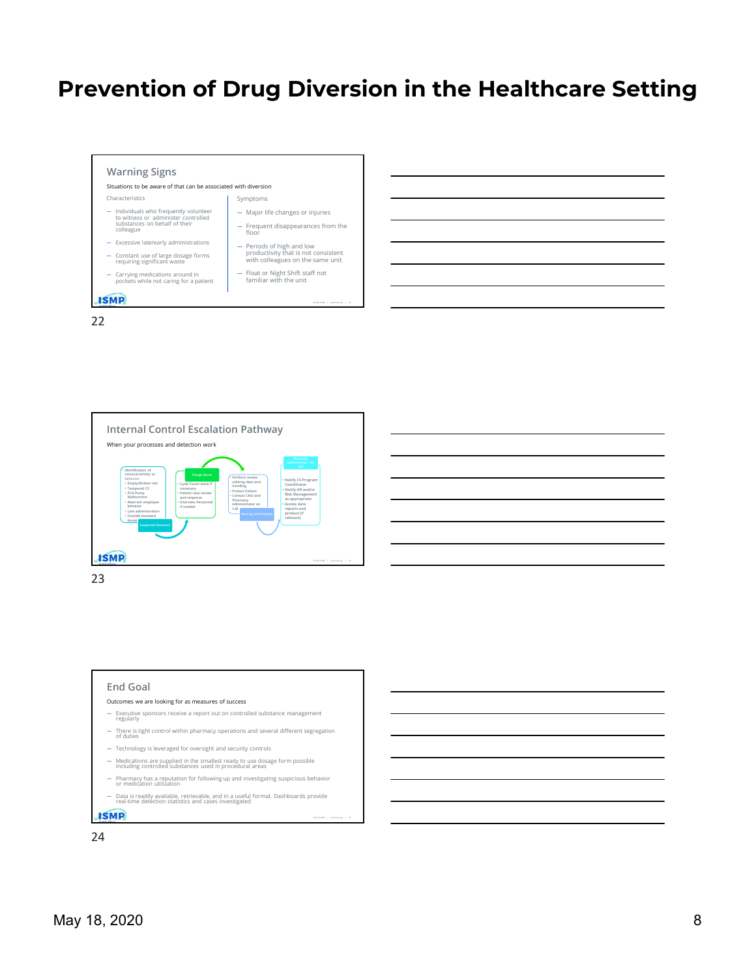![](_page_7_Figure_1.jpeg)

![](_page_7_Figure_2.jpeg)

![](_page_7_Figure_3.jpeg)

![](_page_7_Figure_4.jpeg)

22

![](_page_7_Figure_5.jpeg)

![](_page_7_Figure_9.jpeg)

- 
- -
- Major life changes or injuries
- Frequent disappearances from the floor
- Periods of high and low productivity that is not consistent with colleagues on the same unit
- 

![](_page_7_Figure_19.jpeg)

![](_page_7_Figure_20.jpeg)

Prevention of Drug Diversion in the Healthcare Setting

![](_page_7_Figure_21.jpeg)

![](_page_7_Figure_22.jpeg)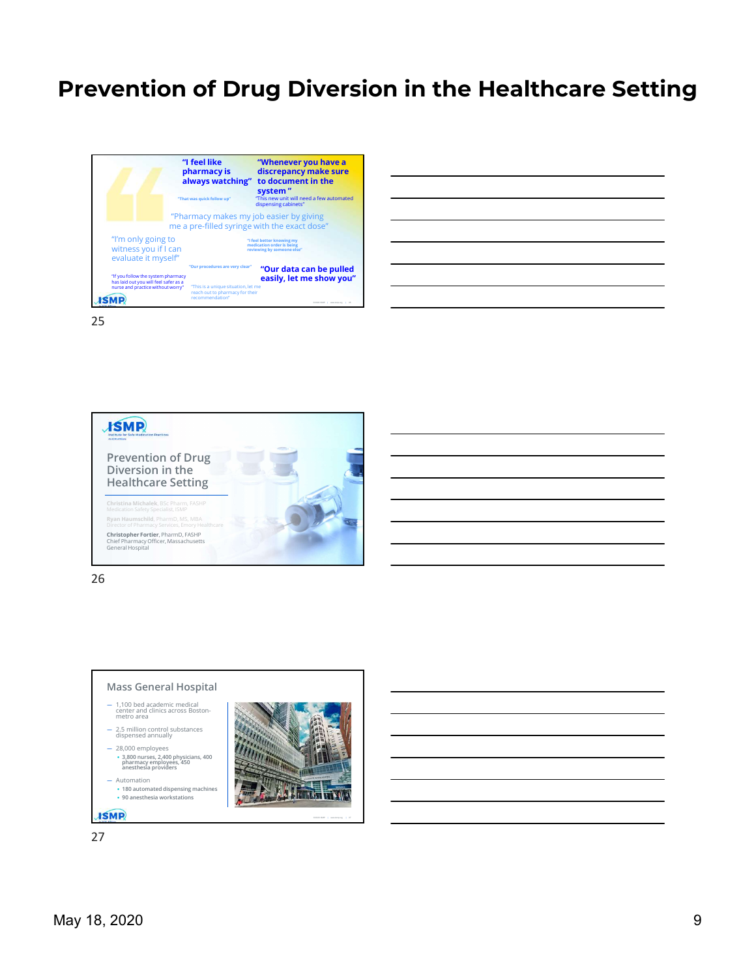![](_page_8_Picture_1.jpeg)

| liscrepancy make sure                                                   |
|-------------------------------------------------------------------------|
| o document in the                                                       |
| vstem "<br>his new unit will need a few automated<br>spensing cabinets" |
| b easier by giving<br>ith the exact dose"                               |
| better knowing my                                                       |
| tion order is being<br>ing by someone else"                             |
| "Our data can be pulled<br>easily, let me show you"                     |
|                                                                         |
| 0.2020 (SMF 1 www.tens.org 1 25                                         |

![](_page_8_Picture_4.jpeg)

26

![](_page_8_Figure_6.jpeg)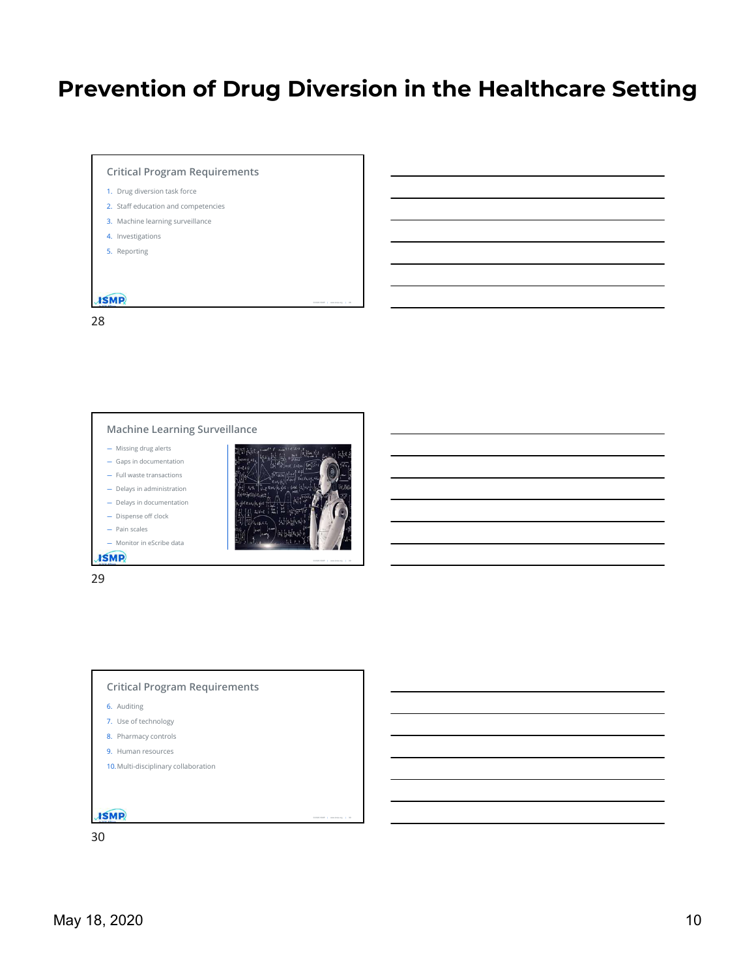![](_page_9_Figure_1.jpeg)

28

- 
- 
- 
- 
- 

![](_page_9_Picture_8.jpeg)

![](_page_9_Picture_9.jpeg)

29

![](_page_9_Figure_11.jpeg)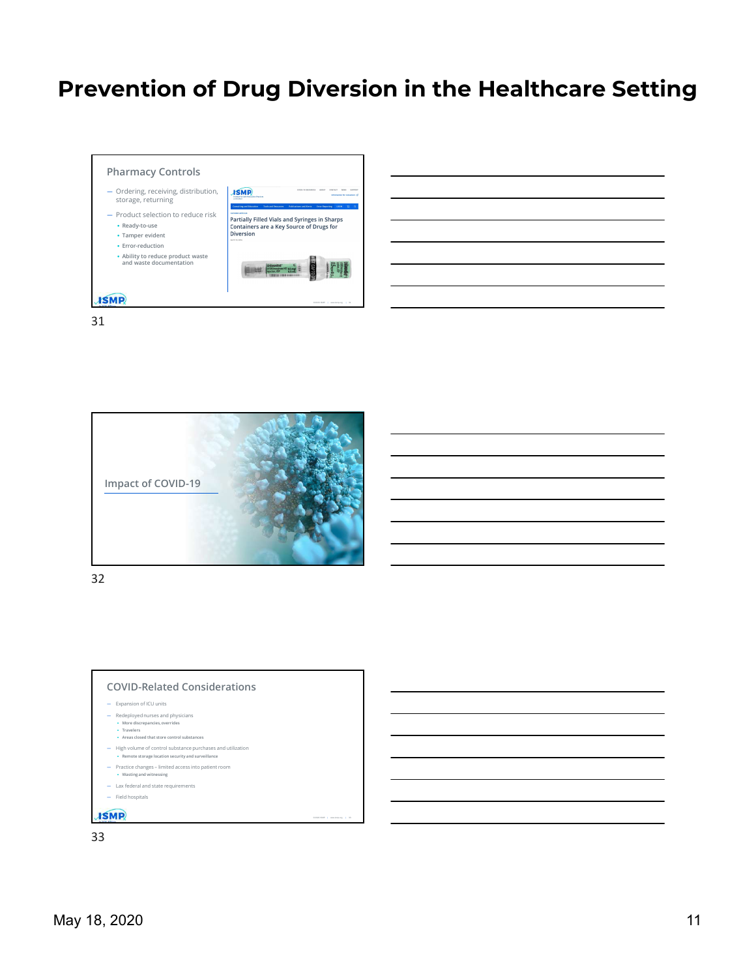![](_page_10_Figure_1.jpeg)

![](_page_10_Picture_2.jpeg)

![](_page_10_Figure_4.jpeg)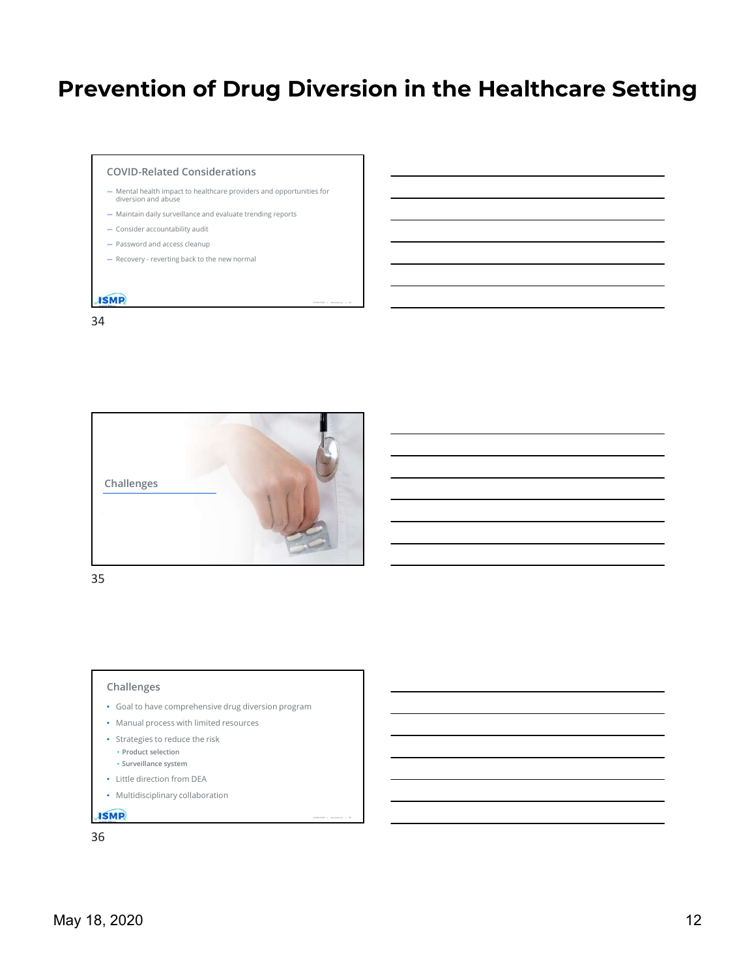# Prevention of Drug Diversion in the Healthcare Setting **Vention of Drug Diversion in the Healthcal**<br>covid-Related Considerations<br>
— Mental Position<br>difference and considerate and opportunities for<br>difference and consider and opportunities for<br>— Mantan dialy surveilling acts to

©2020 ISMP | www.ismp.org | 36

- 
- 
- 
- 
- 

## 34

![](_page_11_Picture_8.jpeg)

35

## Challenges

- Challenges<br>
Cools to the competent<br>
Cools to the competent end of the context program<br>
Status and process with limited resources<br>
Status and the ratio<br>
 May to the cools of the ratio<br>
 May telectron from the A<br>
 Multidi • Goal to have comprehensive drug diversion program
	- Manual process with limited resources
	- Strategies to reduce the risk
		- Product selection
	- Surveillance system
	- Little direction from DEA
	- Multidisciplinary collaboration

![](_page_11_Figure_18.jpeg)

![](_page_11_Figure_19.jpeg)